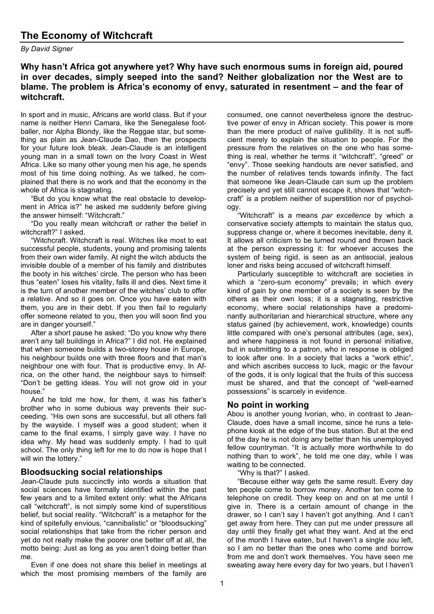*By David Signer*

# **Why hasn't Africa got anywhere yet? Why have such enormous sums in foreign aid, poured in over decades, simply seeped into the sand? Neither globalization nor the West are to blame. The problem is Africa's economy of envy, saturated in resentment – and the fear of witchcraft.**

In sport and in music, Africans are world class. But if your name is neither Henri Camara, like the Senegalese footballer, nor Alpha Blondy, like the Reggae star, but something as plain as Jean-Claude Dao, then the prospects for your future look bleak. Jean-Claude is an intelligent young man in a small town on the Ivory Coast in West Africa. Like so many other young men his age, he spends most of his time doing nothing. As we talked, he complained that there is no work and that the economy in the whole of Africa is stagnating.

"But do you know what the real obstacle to development in Africa is?" he asked me suddenly before giving the answer himself: "Witchcraft."

"Do you really mean witchcraft or rather the belief in witchcraft?" I asked.

"Witchcraft. Witchcraft is real. Witches like most to eat successful people, students, young and promising talents from their own wider family. At night the witch abducts the invisible double of a member of his family and distributes the booty in his witches' circle. The person who has been thus "eaten" loses his vitality, falls ill and dies. Next time it is the turn of another member of the witches' club to offer a relative. And so it goes on. Once you have eaten with them, you are in their debt. If you then fail to regularly offer someone related to you, then you will soon find you are in danger yourself."

After a short pause he asked: "Do you know why there aren't any tall buildings in Africa?" I did not. He explained that when someone builds a two-storey house in Europe, his neighbour builds one with three floors and that man's neighbour one with four. That is productive envy. In Africa, on the other hand, the neighbour says to himself: "Don't be getting ideas. You will not grow old in your house."

And he told me how, for them, it was his father's brother who in some dubious way prevents their succeeding. "His own sons are successful, but all others fall by the wayside. I myself was a good student; when it came to the final exams, I simply gave way. I have no idea why. My head was suddenly empty. I had to quit school. The only thing left for me to do now is hope that I will win the lottery."

## **Bloodsucking social relationships**

Jean-Claude puts succinctly into words a situation that social sciences have formally identified within the past few years and to a limited extent only: what the Africans call "witchcraft", is not simply some kind of superstitious belief, but social reality. "Witchcraft" is a metaphor for the kind of spitefully envious, "cannibalistic" or "bloodsucking" social relationships that take from the richer person and yet do not really make the poorer one better off at all, the motto being: Just as long as you aren't doing better than me.

Even if one does not share this belief in meetings at which the most promising members of the family are consumed, one cannot nevertheless ignore the destructive power of envy in African society. This power is more than the mere product of naïve gullibility. It is not sufficient merely to explain the situation to people. For the pressure from the relatives on the one who has something is real, whether he terms it "witchcraft", "greed" or "envy". Those seeking handouts are never satisfied, and the number of relatives tends towards infinity. The fact that someone like Jean-Claude can sum up the problem precisely and yet still cannot escape it, shows that "witchcraft" is a problem neither of superstition nor of psychology.

"Witchcraft" is a means *par excellence* by which a conservative society attempts to maintain the status quo, suppress change or, where it becomes inevitable, deny it. It allows all criticism to be turned round and thrown back at the person expressing it: for whoever accuses the system of being rigid, is seen as an antisocial, jealous loner and risks being accused of witchcraft himself.

Particularly susceptible to witchcraft are societies in which a "zero-sum economy" prevails; in which every kind of gain by one member of a society is seen by the others as their own loss; it is a stagnating, restrictive economy, where social relationships have a predominantly authoritarian and hierarchical structure, where any status gained (by achievement, work, knowledge) counts little compared with one's personal attributes (age, sex), and where happiness is not found in personal initiative, but in submitting to a patron, who in response is obliged to look after one. In a society that lacks a "work ethic", and which ascribes success to luck, magic or the favour of the gods, it is only logical that the fruits of this success must be shared, and that the concept of "well-earned possessions" is scarcely in evidence.

# **No point in working**

Abou is another young Ivorian, who, in contrast to Jean-Claude, does have a small income, since he runs a telephone kiosk at the edge of the bus station. But at the end of the day he is not doing any better than his unemployed fellow countryman. "It is actually more worthwhile to do nothing than to work", he told me one day, while I was waiting to be connected.

"Why is that?" I asked.

"Because either way gets the same result. Every day ten people come to borrow money. Another ten come to telephone on credit. They keep on and on at me until I give in. There is a certain amount of change in the drawer, so I can't say I haven't got anything. And I can't get away from here. They can put me under pressure all day until they finally get what they want. And at the end of the month I have eaten, but I haven't a single *sou* left, so I am no better than the ones who come and borrow from me and don't work themselves. You have seen me sweating away here every day for two years, but I haven't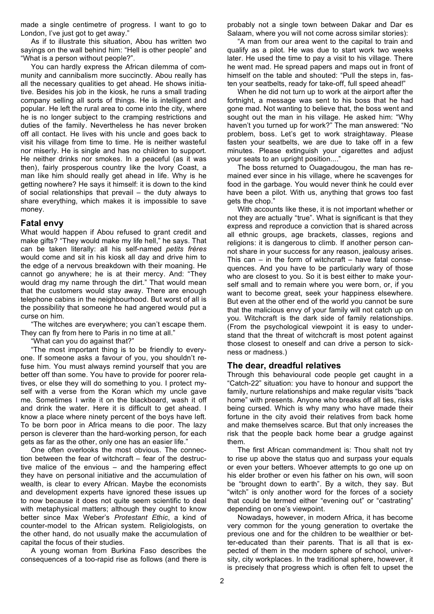made a single centimetre of progress. I want to go to London, I've just got to get away."

As if to illustrate this situation, Abou has written two sayings on the wall behind him: "Hell is other people" and "What is a person without people?".

You can hardly express the African dilemma of community and cannibalism more succinctly. Abou really has all the necessary qualities to get ahead. He shows initiative. Besides his job in the kiosk, he runs a small trading company selling all sorts of things. He is intelligent and popular. He left the rural area to come into the city, where he is no longer subject to the cramping restrictions and duties of the family. Nevertheless he has never broken off all contact. He lives with his uncle and goes back to visit his village from time to time. He is neither wasteful nor miserly. He is single and has no children to support. He neither drinks nor smokes. In a peaceful (as it was then), fairly prosperous country like the Ivory Coast, a man like him should really get ahead in life. Why is he getting nowhere? He says it himself: it is down to the kind of social relationships that prevail – the duty always to share everything, which makes it is impossible to save money.

### **Fatal envy**

What would happen if Abou refused to grant credit and make gifts? "They would make my life hell," he says. That can be taken literally: all his self-named *petits frères* would come and sit in his kiosk all day and drive him to the edge of a nervous breakdown with their moaning. He cannot go anywhere; he is at their mercy. And: "They would drag my name through the dirt." That would mean that the customers would stay away. There are enough telephone cabins in the neighbourhood. But worst of all is the possibility that someone he had angered would put a curse on him.

"The witches are everywhere; you can't escape them. They can fly from here to Paris in no time at all."

"What can you do against that?"

"The most important thing is to be friendly to everyone. If someone asks a favour of you, you shouldn't refuse him. You must always remind yourself that you are better off than some. You have to provide for poorer relatives, or else they will do something to you. I protect myself with a verse from the Koran which my uncle gave me. Sometimes I write it on the blackboard, wash it off and drink the water. Here it is difficult to get ahead. I know a place where ninety percent of the boys have left. To be born poor in Africa means to die poor. The lazy person is cleverer than the hard-working person, for each gets as far as the other, only one has an easier life."

One often overlooks the most obvious. The connection between the fear of witchcraft – fear of the destructive malice of the envious – and the hampering effect they have on personal initiative and the accumulation of wealth, is clear to every African. Maybe the economists and development experts have ignored these issues up to now because it does not quite seem scientific to deal with metaphysical matters; although they ought to know better since Max Weber's *Protestant Ethic*, a kind of counter-model to the African system. Religiologists, on the other hand, do not usually make the accumulation of capital the focus of their studies.

A young woman from Burkina Faso describes the consequences of a too-rapid rise as follows (and there is probably not a single town between Dakar and Dar es Salaam, where you will not come across similar stories):

"A man from our area went to the capital to train and qualify as a pilot. He was due to start work two weeks later. He used the time to pay a visit to his village. There he went mad. He spread papers and maps out in front of himself on the table and shouted: "Pull the steps in, fasten your seatbelts, ready for take-off, full speed ahead!"

When he did not turn up to work at the airport after the fortnight, a message was sent to his boss that he had gone mad. Not wanting to believe that, the boss went and sought out the man in his village. He asked him: "Why haven't you turned up for work?" The man answered: "No problem, boss. Let's get to work straightaway. Please fasten your seatbelts, we are due to take off in a few minutes. Please extinguish your cigarettes and adjust your seats to an upright position....

The boss returned to Ouagadougou, the man has remained ever since in his village, where he scavenges for food in the garbage. You would never think he could ever have been a pilot. With us, anything that grows too fast gets the chop."

With accounts like these, it is not important whether or not they are actually "true". What is significant is that they express and reproduce a conviction that is shared across all ethnic groups, age brackets, classes, regions and religions: it is dangerous to climb. If another person cannot share in your success for any reason, jealousy arises. This can  $-$  in the form of witchcraft  $-$  have fatal consequences. And you have to be particularly wary of those who are closest to you. So it is best either to make yourself small and to remain where you were born, or, if you want to become great, seek your happiness elsewhere. But even at the other end of the world you cannot be sure that the malicious envy of your family will not catch up on you. Witchcraft is the dark side of family relationships. (From the psychological viewpoint it is easy to understand that the threat of witchcraft is most potent against those closest to oneself and can drive a person to sickness or madness.)

#### **The dear, dreadful relatives**

Through this behavioural code people get caught in a "Catch-22" situation: you have to honour and support the family, nurture relationships and make regular visits "back home" with presents. Anyone who breaks off all ties, risks being cursed. Which is why many who have made their fortune in the city avoid their relatives from back home and make themselves scarce. But that only increases the risk that the people back home bear a grudge against them.

The first African commandment is: Thou shalt not try to rise up above the status quo and surpass your equals or even your betters. Whoever attempts to go one up on his elder brother or even his father on his own, will soon be "brought down to earth". By a witch, they say. But "witch" is only another word for the forces of a society that could be termed either "evening out" or "castrating" depending on one's viewpoint.

Nowadays, however, in modern Africa, it has become very common for the young generation to overtake the previous one and for the children to be wealthier or better-educated than their parents. That is all that is expected of them in the modern sphere of school, university, city workplaces. In the traditional sphere, however, it is precisely that progress which is often felt to upset the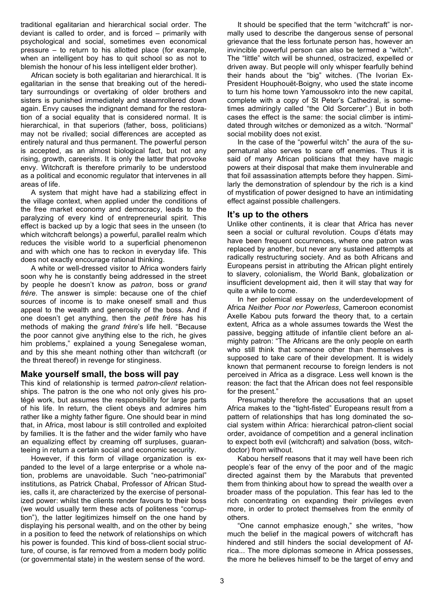traditional egalitarian and hierarchical social order. The deviant is called to order, and is forced – primarily with psychological and social, sometimes even economical pressure – to return to his allotted place (for example, when an intelligent boy has to quit school so as not to blemish the honour of his less intelligent elder brother).

African society is both egalitarian and hierarchical. It is egalitarian in the sense that breaking out of the hereditary surroundings or overtaking of older brothers and sisters is punished immediately and steamrollered down again. Envy causes the indignant demand for the restoration of a social equality that is considered normal. It is hierarchical, in that superiors (father, boss, politicians) may not be rivalled; social differences are accepted as entirely natural and thus permanent. The powerful person is accepted, as an almost biological fact, but not any rising, growth, careerists. It is only the latter that provoke envy. Witchcraft is therefore primarily to be understood as a political and economic regulator that intervenes in all areas of life.

A system that might have had a stabilizing effect in the village context, when applied under the conditions of the free market economy and democracy, leads to the paralyzing of every kind of entrepreneurial spirit. This effect is backed up by a logic that sees in the unseen (to which witchcraft belongs) a powerful, parallel realm which reduces the visible world to a superficial phenomenon and with which one has to reckon in everyday life. This does not exactly encourage rational thinking.

A white or well-dressed visitor to Africa wonders fairly soon why he is constantly being addressed in the street by people he doesn't know as *patron*, boss or *grand frère*. The answer is simple: because one of the chief sources of income is to make oneself small and thus appeal to the wealth and generosity of the boss. And if one doesn't get anything, then the *petit frère* has his methods of making the *grand frère*'s life hell. "Because the poor cannot give anything else to the rich, he gives him problems," explained a young Senegalese woman, and by this she meant nothing other than witchcraft (or the threat thereof) in revenge for stinginess.

#### **Make yourself small, the boss will pay**

This kind of relationship is termed *patron-client* relationships. The patron is the one who not only gives his protégé work, but assumes the responsibility for large parts of his life. In return, the client obeys and admires him rather like a mighty father figure. One should bear in mind that, in Africa, most labour is still controlled and exploited by families. It is the father and the wider family who have an equalizing effect by creaming off surpluses, guaranteeing in return a certain social and economic security.

However, if this form of village organization is expanded to the level of a large enterprise or a whole nation, problems are unavoidable. Such "neo-patrimonial" institutions, as Patrick Chabal, Professor of African Studies, calls it, are characterized by the exercise of personalized power: whilst the clients render favours to their boss (we would usually term these acts of politeness "corruption"), the latter legitimizes himself on the one hand by displaying his personal wealth, and on the other by being in a position to feed the network of relationships on which his power is founded. This kind of boss-client social structure, of course, is far removed from a modern body politic (or governmental state) in the western sense of the word.

It should be specified that the term "witchcraft" is normally used to describe the dangerous sense of personal grievance that the less fortunate person has, however an invincible powerful person can also be termed a "witch". The "little" witch will be shunned, ostracized, expelled or driven away. But people will only whisper fearfully behind their hands about the "big" witches. (The Ivorian Ex-President Houphouët-Boigny, who used the state income to turn his home town Yamoussokro into the new capital, complete with a copy of St Peter's Cathedral, is sometimes admiringly called "the Old Sorcerer".) But in both cases the effect is the same: the social climber is intimidated through witches or demonized as a witch. "Normal" social mobility does not exist.

In the case of the "powerful witch" the aura of the supernatural also serves to scare off enemies. Thus it is said of many African politicians that they have magic powers at their disposal that make them invulnerable and that foil assassination attempts before they happen. Similarly the demonstration of splendour by the rich is a kind of mystification of power designed to have an intimidating effect against possible challengers.

#### **It's up to the others**

Unlike other continents, it is clear that Africa has never seen a social or cultural revolution. Coups d'états may have been frequent occurrences, where one patron was replaced by another, but never any sustained attempts at radically restructuring society. And as both Africans and Europeans persist in attributing the African plight entirely to slavery, colonialism, the World Bank, globalization or insufficient development aid, then it will stay that way for quite a while to come.

In her polemical essay on the underdevelopment of Africa *Neither Poor nor Powerless*, Cameroon economist Axelle Kabou puts forward the theory that, to a certain extent, Africa as a whole assumes towards the West the passive, begging attitude of infantile client before an almighty patron: "The Africans are the only people on earth who still think that someone other than themselves is supposed to take care of their development. It is widely known that permanent recourse to foreign lenders is not perceived in Africa as a disgrace. Less well known is the reason: the fact that the African does not feel responsible for the present."

Presumably therefore the accusations that an upset Africa makes to the "tight-fisted" Europeans result from a pattern of relationships that has long dominated the social system within Africa: hierarchical patron-client social order, avoidance of competition and a general inclination to expect both evil (witchcraft) and salvation (boss, witchdoctor) from without.

Kabou herself reasons that it may well have been rich people's fear of the envy of the poor and of the magic directed against them by the Marabuts that prevented them from thinking about how to spread the wealth over a broader mass of the population. This fear has led to the rich concentrating on expanding their privileges even more, in order to protect themselves from the enmity of others.

"One cannot emphasize enough," she writes, "how much the belief in the magical powers of witchcraft has hindered and still hinders the social development of Africa... The more diplomas someone in Africa possesses, the more he believes himself to be the target of envy and